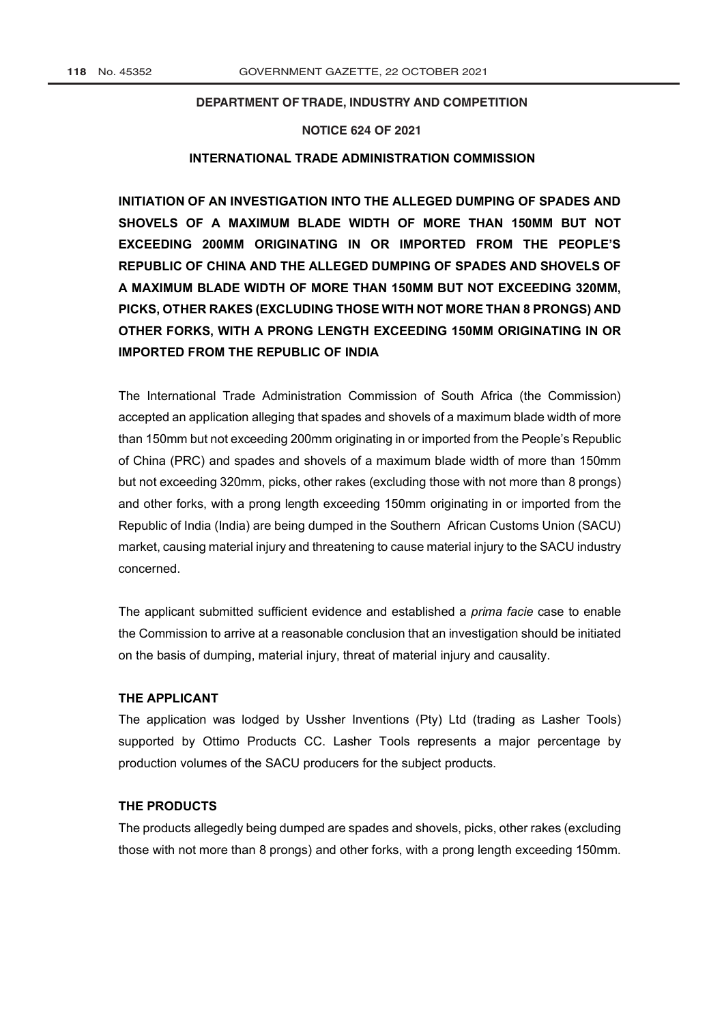## **DEPARTMENT OF TRADE, INDUSTRY AND COMPETITION**

## **NOTICE 624 OF 2021**

## **INTERNATIONAL TRADE ADMINISTRATION COMMISSION**

**INITIATION OF AN INVESTIGATION INTO THE ALLEGED DUMPING OF SPADES AND SHOVELS OF A MAXIMUM BLADE WIDTH OF MORE THAN 150MM BUT NOT EXCEEDING 200MM ORIGINATING IN OR IMPORTED FROM THE PEOPLE'S REPUBLIC OF CHINA AND THE ALLEGED DUMPING OF SPADES AND SHOVELS OF A MAXIMUM BLADE WIDTH OF MORE THAN 150MM BUT NOT EXCEEDING 320MM, PICKS, OTHER RAKES (EXCLUDING THOSE WITH NOT MORE THAN 8 PRONGS) AND OTHER FORKS, WITH A PRONG LENGTH EXCEEDING 150MM ORIGINATING IN OR IMPORTED FROM THE REPUBLIC OF INDIA** 

The International Trade Administration Commission of South Africa (the Commission) accepted an application alleging that spades and shovels of a maximum blade width of more than 150mm but not exceeding 200mm originating in or imported from the People's Republic of China (PRC) and spades and shovels of a maximum blade width of more than 150mm but not exceeding 320mm, picks, other rakes (excluding those with not more than 8 prongs) and other forks, with a prong length exceeding 150mm originating in or imported from the Republic of India (India) are being dumped in the Southern African Customs Union (SACU) market, causing material injury and threatening to cause material injury to the SACU industry concerned.

The applicant submitted sufficient evidence and established a *prima facie* case to enable the Commission to arrive at a reasonable conclusion that an investigation should be initiated on the basis of dumping, material injury, threat of material injury and causality.

#### **THE APPLICANT**

The application was lodged by Ussher Inventions (Pty) Ltd (trading as Lasher Tools) supported by Ottimo Products CC. Lasher Tools represents a major percentage by production volumes of the SACU producers for the subject products.

## **THE PRODUCTS**

The products allegedly being dumped are spades and shovels, picks, other rakes (excluding those with not more than 8 prongs) and other forks, with a prong length exceeding 150mm.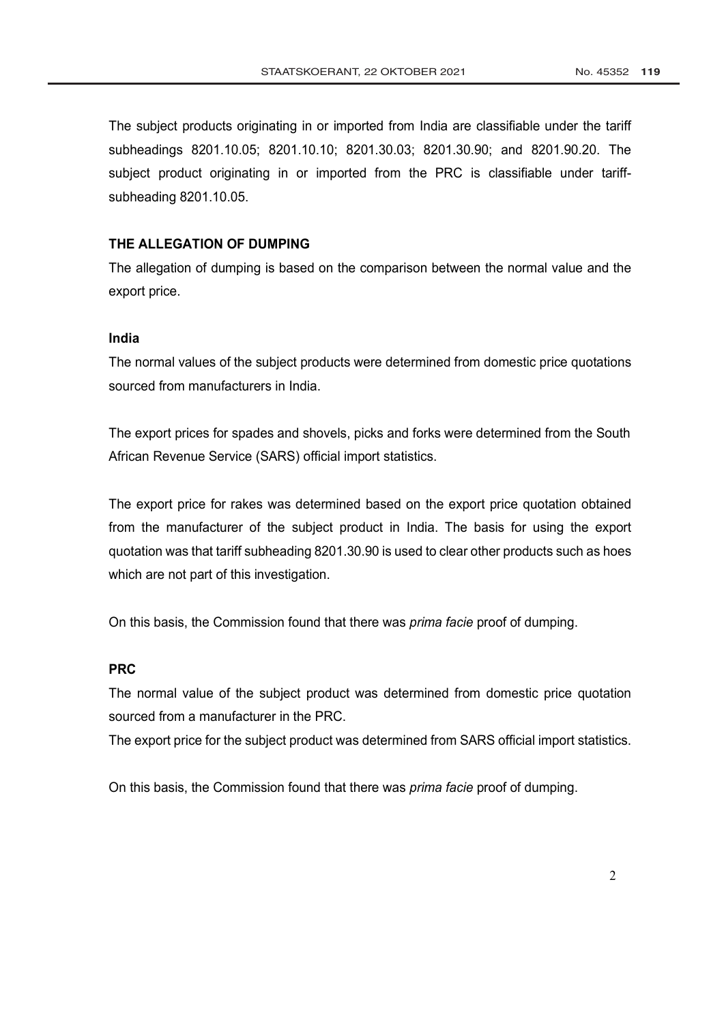The subject products originating in or imported from India are classifiable under the tariff subheadings 8201.10.05; 8201.10.10; 8201.30.03; 8201.30.90; and 8201.90.20. The subject product originating in or imported from the PRC is classifiable under tariffsubheading 8201.10.05.

## **THE ALLEGATION OF DUMPING**

The allegation of dumping is based on the comparison between the normal value and the export price.

# **India**

The normal values of the subject products were determined from domestic price quotations sourced from manufacturers in India.

The export prices for spades and shovels, picks and forks were determined from the South African Revenue Service (SARS) official import statistics.

The export price for rakes was determined based on the export price quotation obtained from the manufacturer of the subject product in India. The basis for using the export quotation was that tariff subheading 8201.30.90 is used to clear other products such as hoes which are not part of this investigation.

On this basis, the Commission found that there was *prima facie* proof of dumping.

## **PRC**

The normal value of the subject product was determined from domestic price quotation sourced from a manufacturer in the PRC.

The export price for the subject product was determined from SARS official import statistics.

On this basis, the Commission found that there was *prima facie* proof of dumping.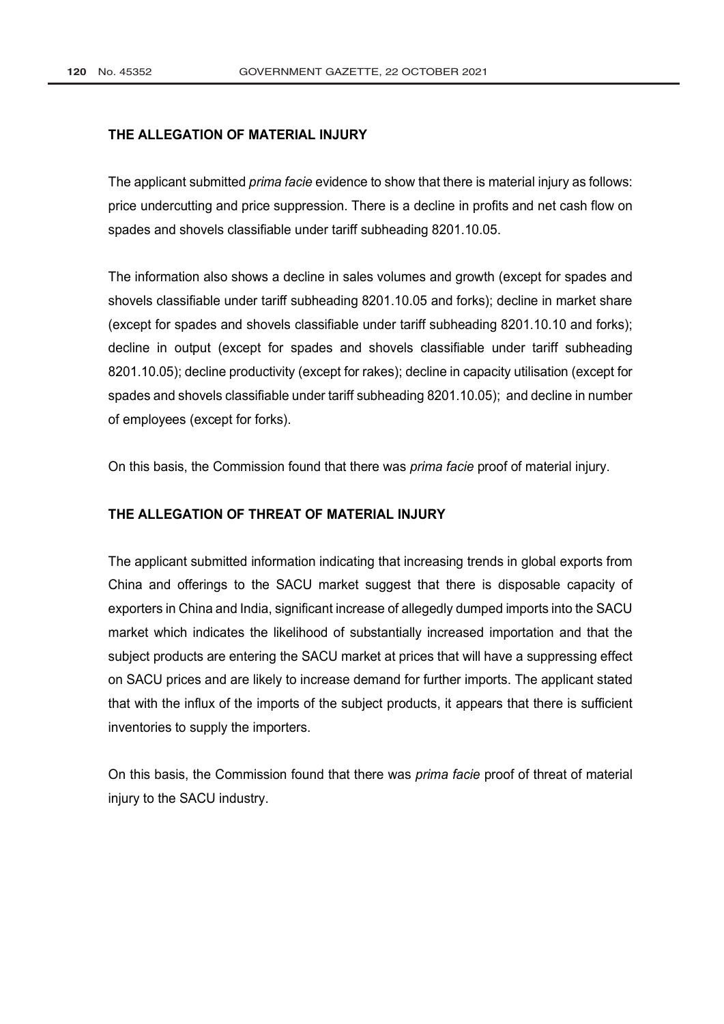## **THE ALLEGATION OF MATERIAL INJURY**

The applicant submitted *prima facie* evidence to show that there is material injury as follows: price undercutting and price suppression. There is a decline in profits and net cash flow on spades and shovels classifiable under tariff subheading 8201.10.05.

The information also shows a decline in sales volumes and growth (except for spades and shovels classifiable under tariff subheading 8201.10.05 and forks); decline in market share (except for spades and shovels classifiable under tariff subheading 8201.10.10 and forks); decline in output (except for spades and shovels classifiable under tariff subheading 8201.10.05); decline productivity (except for rakes); decline in capacity utilisation (except for spades and shovels classifiable under tariff subheading 8201.10.05); and decline in number of employees (except for forks).

On this basis, the Commission found that there was *prima facie* proof of material injury.

## **THE ALLEGATION OF THREAT OF MATERIAL INJURY**

The applicant submitted information indicating that increasing trends in global exports from China and offerings to the SACU market suggest that there is disposable capacity of exporters in China and India, significant increase of allegedly dumped imports into the SACU market which indicates the likelihood of substantially increased importation and that the subject products are entering the SACU market at prices that will have a suppressing effect on SACU prices and are likely to increase demand for further imports. The applicant stated that with the influx of the imports of the subject products, it appears that there is sufficient inventories to supply the importers.

On this basis, the Commission found that there was *prima facie* proof of threat of material injury to the SACU industry.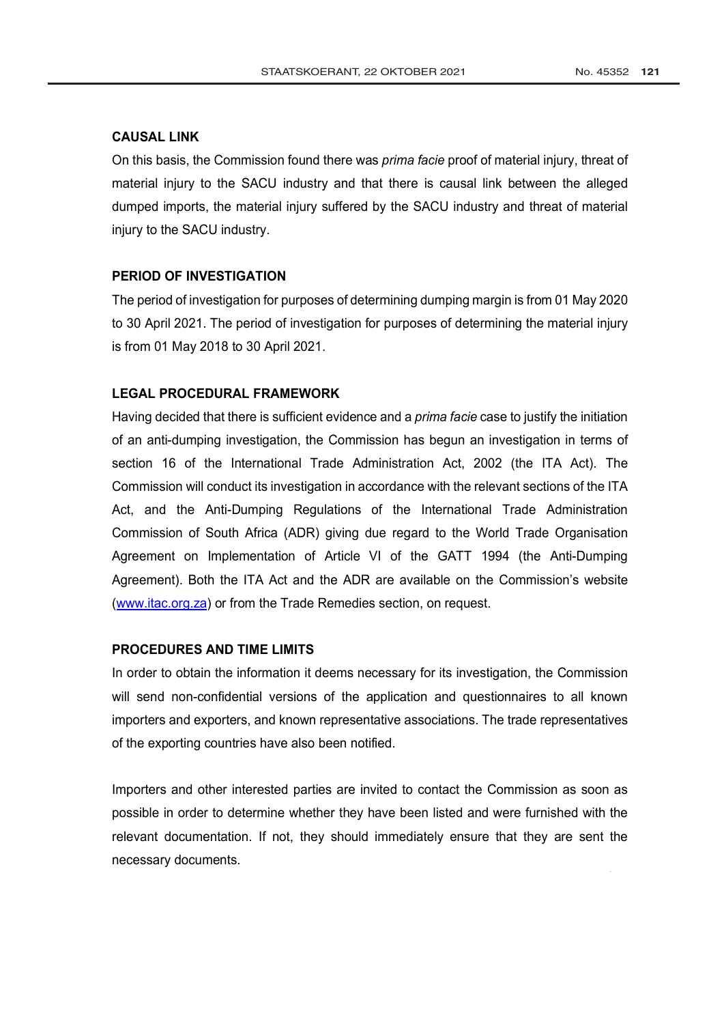## **CAUSAL LINK**

On this basis, the Commission found there was *prima facie* proof of material injury, threat of material injury to the SACU industry and that there is causal link between the alleged dumped imports, the material injury suffered by the SACU industry and threat of material injury to the SACU industry.

## **PERIOD OF INVESTIGATION**

The period of investigation for purposes of determining dumping margin is from 01 May 2020 to 30 April 2021. The period of investigation for purposes of determining the material injury is from 01 May 2018 to 30 April 2021.

## **LEGAL PROCEDURAL FRAMEWORK**

Having decided that there is sufficient evidence and a *prima facie* case to justify the initiation of an anti-dumping investigation, the Commission has begun an investigation in terms of section 16 of the [International Trade Administration Act,](http://www.greengazette.co.za/acts/international-trade-administration-act_2002-071) 2002 (the ITA Act). The Commission will conduct its investigation in accordance with the relevant sections of the ITA Act, and the Anti-Dumping Regulations of the International Trade Administration Commission of South Africa (ADR) giving due regard to the World Trade Organisation Agreement on Implementation of Article VI of the GATT 1994 (the Anti-Dumping Agreement). Both the ITA Act and the ADR are available on the Commission's website (www.itac.org.za) or from the Trade Remedies section, on request.

## **PROCEDURES AND TIME LIMITS**

In order to obtain the information it deems necessary for its investigation, the Commission will send non-confidential versions of the application and questionnaires to all known importers and exporters, and known representative associations. The trade representatives of the exporting countries have also been notified.

Importers and other interested parties are invited to contact the Commission as soon as possible in order to determine whether they have been listed and were furnished with the relevant documentation. If not, they should immediately ensure that they are sent the necessary documents.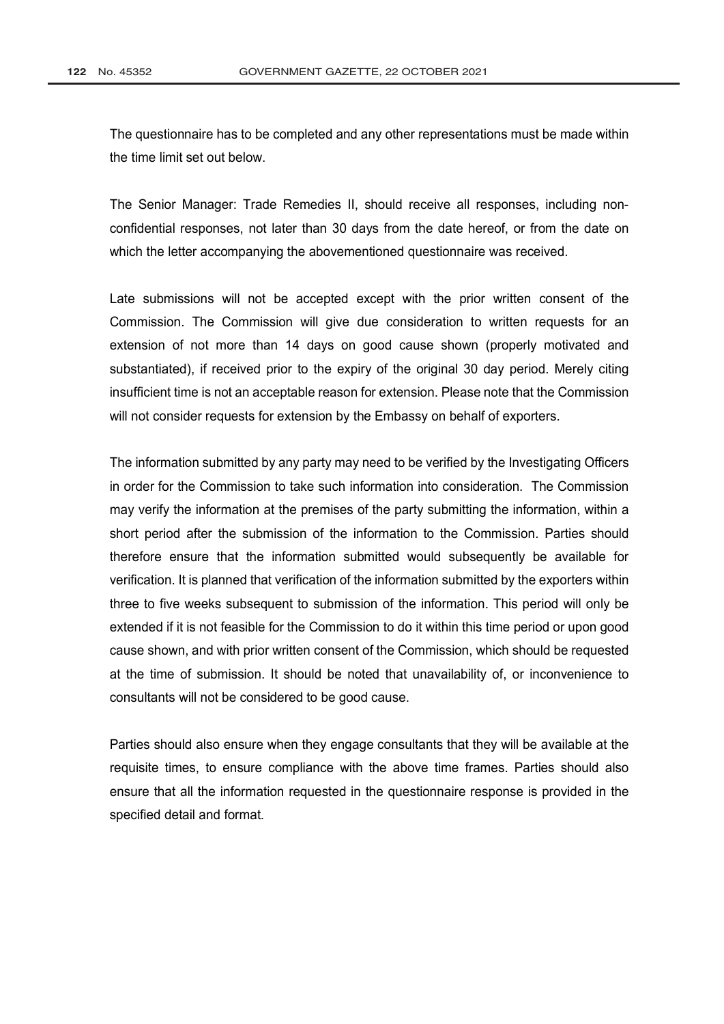The questionnaire has to be completed and any other representations must be made within the time limit set out below.

The Senior Manager: Trade Remedies II, should receive all responses, including nonconfidential responses, not later than 30 days from the date hereof, or from the date on which the letter accompanying the abovementioned questionnaire was received.

Late submissions will not be accepted except with the prior written consent of the Commission. The Commission will give due consideration to written requests for an extension of not more than 14 days on good cause shown (properly motivated and substantiated), if received prior to the expiry of the original 30 day period. Merely citing insufficient time is not an acceptable reason for extension. Please note that the Commission will not consider requests for extension by the Embassy on behalf of exporters.

The information submitted by any party may need to be verified by the Investigating Officers in order for the Commission to take such information into consideration. The Commission may verify the information at the premises of the party submitting the information, within a short period after the submission of the information to the Commission. Parties should therefore ensure that the information submitted would subsequently be available for verification. It is planned that verification of the information submitted by the exporters within three to five weeks subsequent to submission of the information. This period will only be extended if it is not feasible for the Commission to do it within this time period or upon good cause shown, and with prior written consent of the Commission, which should be requested at the time of submission. It should be noted that unavailability of, or inconvenience to consultants will not be considered to be good cause.

Parties should also ensure when they engage consultants that they will be available at the requisite times, to ensure compliance with the above time frames. Parties should also ensure that all the information requested in the questionnaire response is provided in the specified detail and format.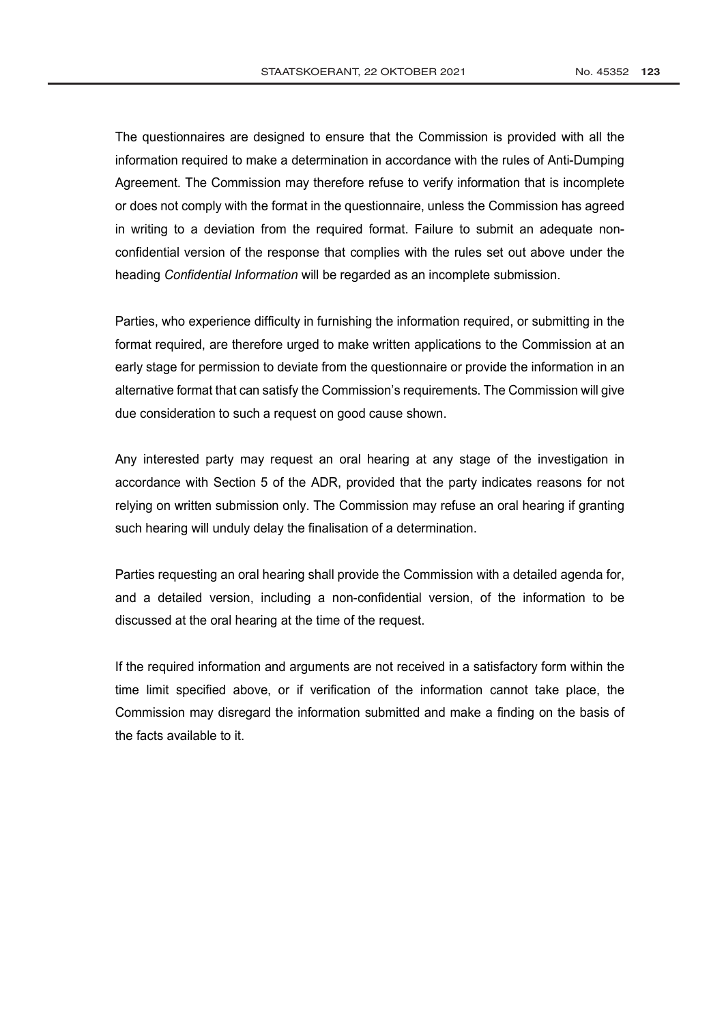The questionnaires are designed to ensure that the Commission is provided with all the information required to make a determination in accordance with the rules of Anti-Dumping Agreement. The Commission may therefore refuse to verify information that is incomplete or does not comply with the format in the questionnaire, unless the Commission has agreed in writing to a deviation from the required format. Failure to submit an adequate nonconfidential version of the response that complies with the rules set out above under the heading *Confidential Information* will be regarded as an incomplete submission.

Parties, who experience difficulty in furnishing the information required, or submitting in the format required, are therefore urged to make written applications to the Commission at an early stage for permission to deviate from the questionnaire or provide the information in an alternative format that can satisfy the Commission's requirements. The Commission will give due consideration to such a request on good cause shown.

Any interested party may request an oral hearing at any stage of the investigation in accordance with Section 5 of the ADR, provided that the party indicates reasons for not relying on written submission only. The Commission may refuse an oral hearing if granting such hearing will unduly delay the finalisation of a determination.

Parties requesting an oral hearing shall provide the Commission with a detailed agenda for, and a detailed version, including a non-confidential version, of the information to be discussed at the oral hearing at the time of the request.

If the required information and arguments are not received in a satisfactory form within the time limit specified above, or if verification of the information cannot take place, the Commission may disregard the information submitted and make a finding on the basis of the facts available to it.